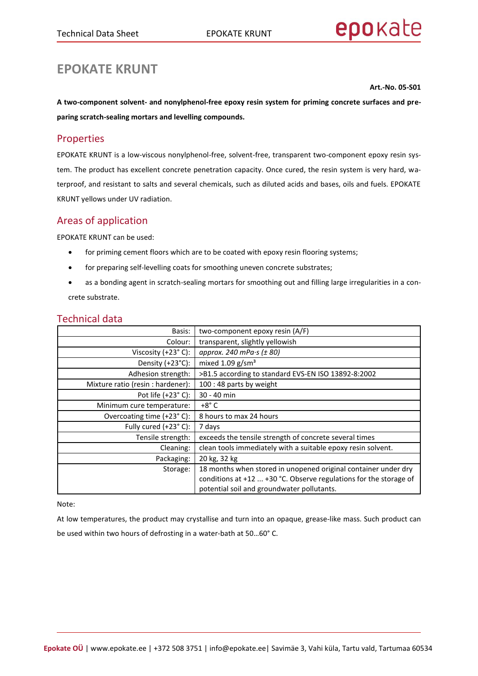# **EPOKATE KRUNT**

**Art.-No. 05-S01**

**A two-component solvent- and nonylphenol-free epoxy resin system for priming concrete surfaces and preparing scratch-sealing mortars and levelling compounds.**

## Properties

EPOKATE KRUNT is a low-viscous nonylphenol-free, solvent-free, transparent two-component epoxy resin system. The product has excellent concrete penetration capacity. Once cured, the resin system is very hard, waterproof, and resistant to salts and several chemicals, such as diluted acids and bases, oils and fuels. EPOKATE KRUNT yellows under UV radiation.

## Areas of application

EPOKATE KRUNT can be used:

- for priming cement floors which are to be coated with epoxy resin flooring systems;
- for preparing self-levelling coats for smoothing uneven concrete substrates;
- as a bonding agent in scratch-sealing mortars for smoothing out and filling large irregularities in a concrete substrate.

| Basis:                            | two-component epoxy resin (A/F)                                   |
|-----------------------------------|-------------------------------------------------------------------|
| Colour:                           | transparent, slightly yellowish                                   |
| Viscosity $(+23° C)$ :            | approx. 240 mPa $\cdot$ s ( $\pm$ 80)                             |
| Density $(+23^{\circ}C)$ :        | mixed $1.09$ g/sm <sup>3</sup>                                    |
| Adhesion strength:                | >B1.5 according to standard EVS-EN ISO 13892-8:2002               |
| Mixture ratio (resin : hardener): | 100 : 48 parts by weight                                          |
| Pot life $(+23^\circ C)$ :        | 30 - 40 min                                                       |
| Minimum cure temperature:         | $+8^\circ$ C                                                      |
| Overcoating time (+23°C):         | 8 hours to max 24 hours                                           |
| Fully cured (+23°C):              | 7 days                                                            |
| Tensile strength:                 | exceeds the tensile strength of concrete several times            |
| Cleaning:                         | clean tools immediately with a suitable epoxy resin solvent.      |
| Packaging:                        | 20 kg, 32 kg                                                      |
| Storage:                          | 18 months when stored in unopened original container under dry    |
|                                   | conditions at +12  +30 °C. Observe regulations for the storage of |
|                                   | potential soil and groundwater pollutants.                        |

## Technical data

Note:

At low temperatures, the product may crystallise and turn into an opaque, grease-like mass. Such product can be used within two hours of defrosting in a water-bath at 50…60° C.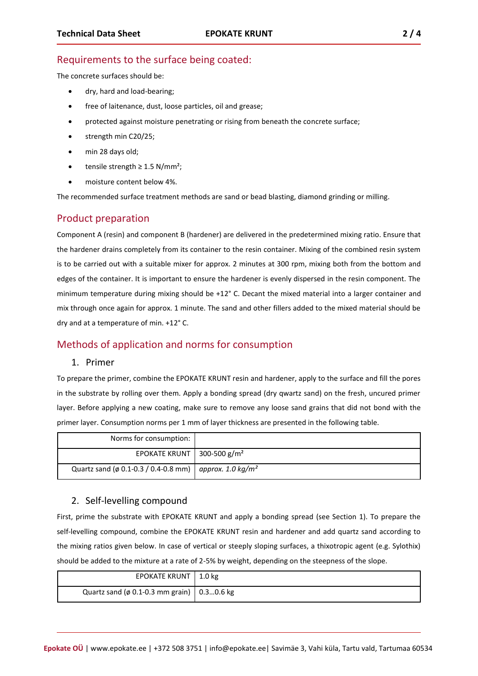## Requirements to the surface being coated:

The concrete surfaces should be:

- dry, hard and load-bearing;
- free of laitenance, dust, loose particles, oil and grease;
- protected against moisture penetrating or rising from beneath the concrete surface;
- strength min C20/25;
- min 28 days old;
- tensile strength  $\geq 1.5$  N/mm<sup>2</sup>;
- moisture content below 4%.

The recommended surface treatment methods are sand or bead blasting, diamond grinding or milling.

## Product preparation

Component A (resin) and component B (hardener) are delivered in the predetermined mixing ratio. Ensure that the hardener drains completely from its container to the resin container. Mixing of the combined resin system is to be carried out with a suitable mixer for approx. 2 minutes at 300 rpm, mixing both from the bottom and edges of the container. It is important to ensure the hardener is evenly dispersed in the resin component. The minimum temperature during mixing should be +12° C. Decant the mixed material into a larger container and mix through once again for approx. 1 minute. The sand and other fillers added to the mixed material should be dry and at a temperature of min. +12° C.

## Methods of application and norms for consumption

#### 1. Primer

To prepare the primer, combine the EPOKATE KRUNT resin and hardener, apply to the surface and fill the pores in the substrate by rolling over them. Apply a bonding spread (dry qwartz sand) on the fresh, uncured primer layer. Before applying a new coating, make sure to remove any loose sand grains that did not bond with the primer layer. Consumption norms per 1 mm of layer thickness are presented in the following table.

| Norms for consumption:                                               |  |
|----------------------------------------------------------------------|--|
| EPOKATE KRUNT 300-500 $g/m2$                                         |  |
| Quartz sand (ø 0.1-0.3 / 0.4-0.8 mm)   approx. 1.0 kg/m <sup>2</sup> |  |

#### 2. Self-levelling compound

First, prime the substrate with EPOKATE KRUNT and apply a bonding spread (see Section 1). To prepare the self-levelling compound, combine the EPOKATE KRUNT resin and hardener and add quartz sand according to the mixing ratios given below. In case of vertical or steeply sloping surfaces, a thixotropic agent (e.g. Sylothix) should be added to the mixture at a rate of 2-5% by weight, depending on the steepness of the slope.

| EPOKATE KRUNT   1.0 kg                             |  |
|----------------------------------------------------|--|
| Quartz sand ( $\phi$ 0.1-0.3 mm grain)   0.30.6 kg |  |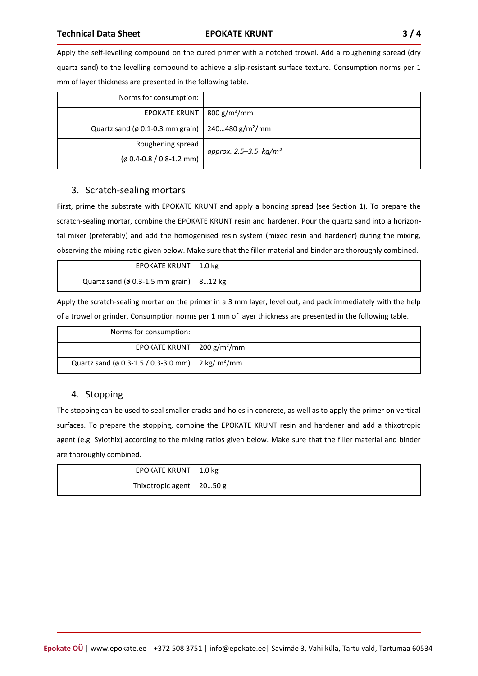Apply the self-levelling compound on the cured primer with a notched trowel. Add a roughening spread (dry quartz sand) to the levelling compound to achieve a slip-resistant surface texture. Consumption norms per 1 mm of layer thickness are presented in the following table.

| Norms for consumption:                                         |                          |
|----------------------------------------------------------------|--------------------------|
| <b>EPOKATE KRUNT</b>                                           | $800 g/m^2/mm$           |
| Quartz sand (ø 0.1-0.3 mm grain)   240480 g/m <sup>2</sup> /mm |                          |
| Roughening spread                                              | approx. 2.5–3.5 $kg/m^2$ |
| $($ ø 0.4-0.8 / 0.8-1.2 mm)                                    |                          |

#### 3. Scratch-sealing mortars

First, prime the substrate with EPOKATE KRUNT and apply a bonding spread (see Section 1). To prepare the scratch-sealing mortar, combine the EPOKATE KRUNT resin and hardener. Pour the quartz sand into a horizontal mixer (preferably) and add the homogenised resin system (mixed resin and hardener) during the mixing, observing the mixing ratio given below. Make sure that the filler material and binder are thoroughly combined.

| EPOKATE KRUNT   1.0 kg                          |  |
|-------------------------------------------------|--|
| Quartz sand ( $\phi$ 0.3-1.5 mm grain)   812 kg |  |

Apply the scratch-sealing mortar on the primer in a 3 mm layer, level out, and pack immediately with the help of a trowel or grinder. Consumption norms per 1 mm of layer thickness are presented in the following table.

| Norms for consumption:                                          |  |
|-----------------------------------------------------------------|--|
| EPOKATE KRUNT   200 $g/m^2/mm$                                  |  |
| Quartz sand (ø 0.3-1.5 / 0.3-3.0 mm)   2 kg/ m <sup>2</sup> /mm |  |

#### 4. Stopping

The stopping can be used to seal smaller cracks and holes in concrete, as well as to apply the primer on vertical surfaces. To prepare the stopping, combine the EPOKATE KRUNT resin and hardener and add a thixotropic agent (e.g. Sylothix) according to the mixing ratios given below. Make sure that the filler material and binder are thoroughly combined.

| EPOKATE KRUNT   1.0 kg     |  |
|----------------------------|--|
| Thixotropic agent   2050 g |  |